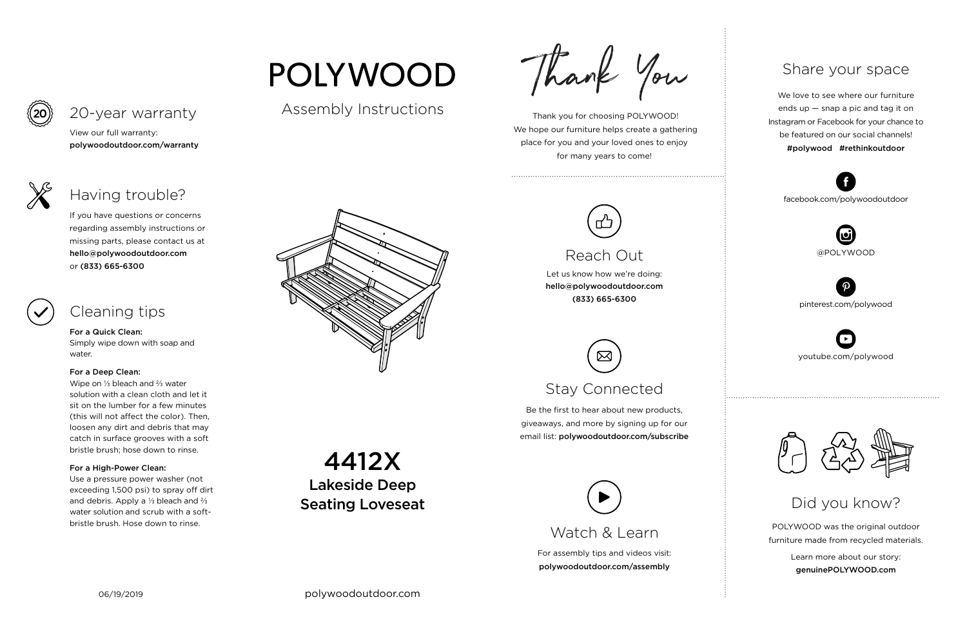For assembly tips and videos visit: polywoodoutdoor.com/assembly

 Thank you for choosing POLYWOOD! We hope our furniture helps create a gathering place for you and your loved ones to enjoy for many years to come!



Let us know how we're doing: hello@polywoodoutdoor.com (833) 665-6300

Be the first to hear about new products, giveaways, and more by signing up for our email list: polywoodoutdoor.com/subscribe

> POLYWOOD was the original outdoor furniture made from recycled materials.

> > Learn more about our story: genuinePOLYWOOD.com

We love to see where our furniture ends up — snap a pic and tag it on Instagram or Facebook for your chance to be featured on our social channels! #polywood #rethinkoutdoor



youtube.com/polywood



pinterest.com/polywood



facebook.com/polywoodoutdoor







## Reach Out

# Stay Connected

## Share your space

Did you know?

View our full warranty: polywoodoutdoor.com/warranty

### For a Quick Clean:

Simply wipe down with soap and water.

### For a Deep Clean:

Wipe on ⅓ bleach and ⅔ water solution with a clean cloth and let it sit on the lumber for a few minutes (this will not affect the color). Then, loosen any dirt and debris that may catch in surface grooves with a soft bristle brush; hose down to rinse.

## For a High-Power Clean:

Use a pressure power washer (not exceeding 1,500 psi) to spray off dirt and debris. Apply a ⅓ bleach and ⅔ water solution and scrub with a softbristle brush. Hose down to rinse.



If you have questions or concerns regarding assembly instructions or missing parts, please contact us at hello@polywoodoutdoor.com or (833) 665-6300

## 20-year warranty

## Having trouble?

## Cleaning tips

Assembly Instructions

**POLYWOOD** 

Thank You

4412X

Lakeside Deep

Seating Loveseat